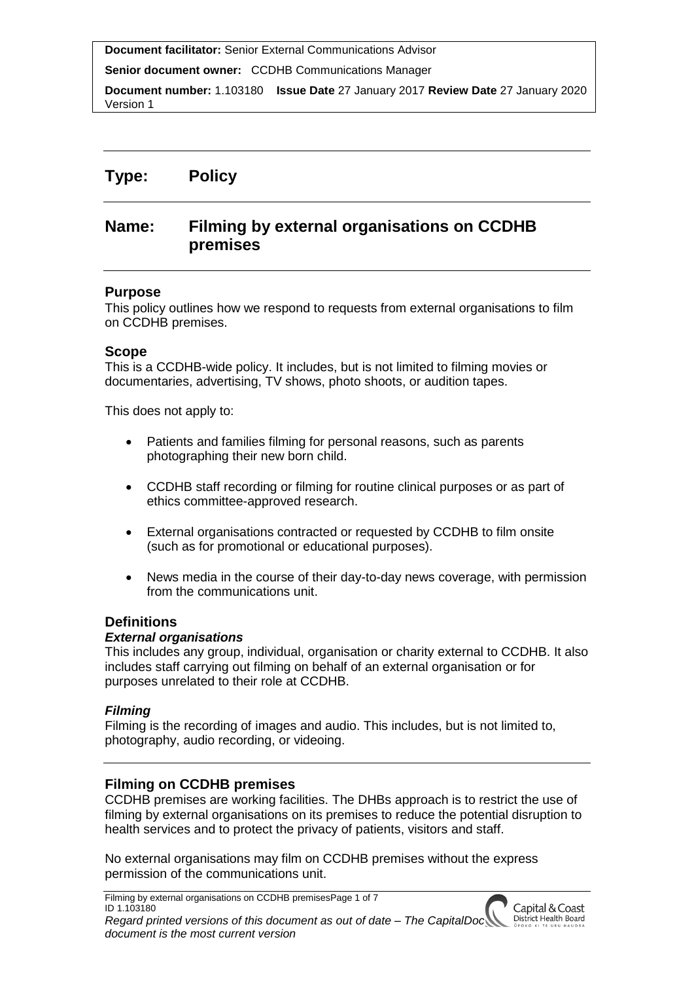**Senior document owner:** CCDHB Communications Manager

**Document number:** 1.103180 **Issue Date** 27 January 2017 **Review Date** 27 January 2020 Version 1

# **Type: Policy**

# **Name: Filming by external organisations on CCDHB premises**

#### **Purpose**

This policy outlines how we respond to requests from external organisations to film on CCDHB premises.

#### **Scope**

This is a CCDHB-wide policy. It includes, but is not limited to filming movies or documentaries, advertising, TV shows, photo shoots, or audition tapes.

This does not apply to:

- Patients and families filming for personal reasons, such as parents photographing their new born child.
- CCDHB staff recording or filming for routine clinical purposes or as part of ethics committee-approved research.
- External organisations contracted or requested by CCDHB to film onsite (such as for promotional or educational purposes).
- News media in the course of their day-to-day news coverage, with permission from the communications unit.

# **Definitions**

#### *External organisations*

This includes any group, individual, organisation or charity external to CCDHB. It also includes staff carrying out filming on behalf of an external organisation or for purposes unrelated to their role at CCDHB.

#### *Filming*

Filming is the recording of images and audio. This includes, but is not limited to, photography, audio recording, or videoing.

# **Filming on CCDHB premises**

CCDHB premises are working facilities. The DHBs approach is to restrict the use of filming by external organisations on its premises to reduce the potential disruption to health services and to protect the privacy of patients, visitors and staff.

No external organisations may film on CCDHB premises without the express permission of the communications unit.

Filming by external organisations on CCDHB premisesPage 1 of 7 ID 1.103180 *Regard printed versions of this document as out of date – The CapitalDoc document is the most current version*

Capital & Coast District Health Board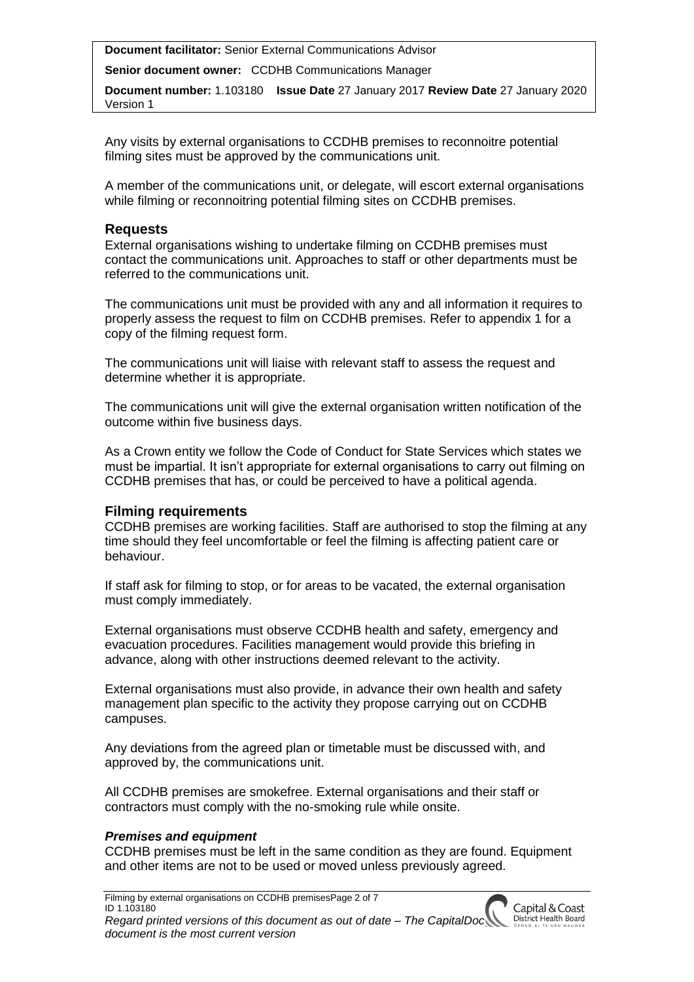**Senior document owner:** CCDHB Communications Manager

**Document number:** 1.103180 **Issue Date** 27 January 2017 **Review Date** 27 January 2020 Version 1

Any visits by external organisations to CCDHB premises to reconnoitre potential filming sites must be approved by the communications unit.

A member of the communications unit, or delegate, will escort external organisations while filming or reconnoitring potential filming sites on CCDHB premises.

#### **Requests**

External organisations wishing to undertake filming on CCDHB premises must contact the communications unit. Approaches to staff or other departments must be referred to the communications unit.

The communications unit must be provided with any and all information it requires to properly assess the request to film on CCDHB premises. Refer to appendix 1 for a copy of the filming request form.

The communications unit will liaise with relevant staff to assess the request and determine whether it is appropriate.

The communications unit will give the external organisation written notification of the outcome within five business days.

As a Crown entity we follow the Code of Conduct for State Services which states we must be impartial. It isn't appropriate for external organisations to carry out filming on CCDHB premises that has, or could be perceived to have a political agenda.

# **Filming requirements**

CCDHB premises are working facilities. Staff are authorised to stop the filming at any time should they feel uncomfortable or feel the filming is affecting patient care or behaviour.

If staff ask for filming to stop, or for areas to be vacated, the external organisation must comply immediately.

External organisations must observe CCDHB health and safety, emergency and evacuation procedures. Facilities management would provide this briefing in advance, along with other instructions deemed relevant to the activity.

External organisations must also provide, in advance their own health and safety management plan specific to the activity they propose carrying out on CCDHB campuses.

Any deviations from the agreed plan or timetable must be discussed with, and approved by, the communications unit.

All CCDHB premises are smokefree. External organisations and their staff or contractors must comply with the no-smoking rule while onsite.

# *Premises and equipment*

CCDHB premises must be left in the same condition as they are found. Equipment and other items are not to be used or moved unless previously agreed.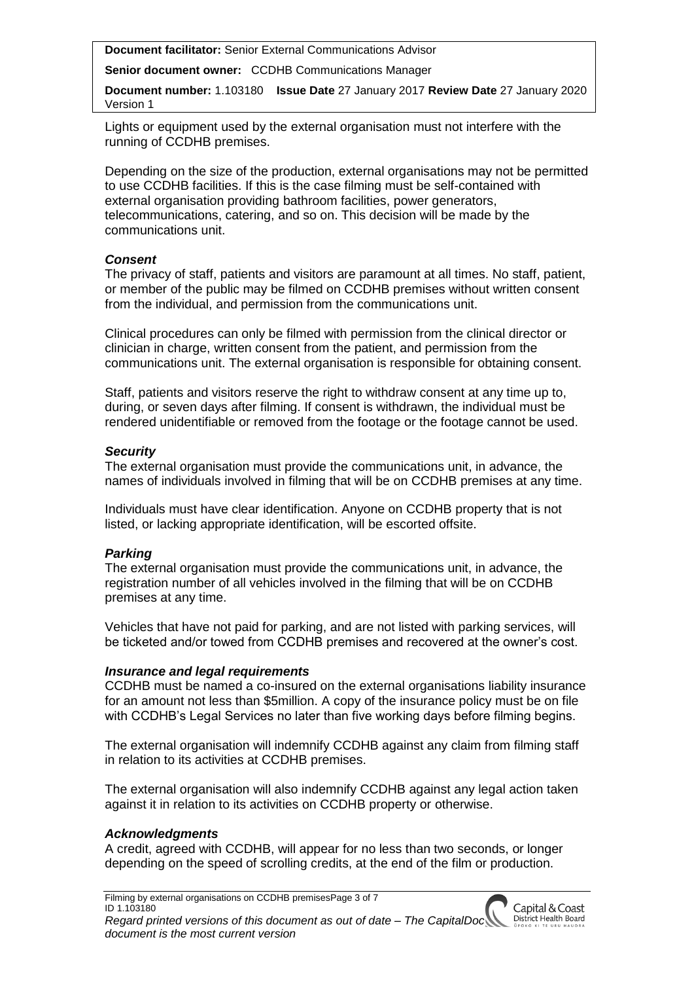**Senior document owner:** CCDHB Communications Manager

**Document number:** 1.103180 **Issue Date** 27 January 2017 **Review Date** 27 January 2020 Version 1

Lights or equipment used by the external organisation must not interfere with the running of CCDHB premises.

Depending on the size of the production, external organisations may not be permitted to use CCDHB facilities. If this is the case filming must be self-contained with external organisation providing bathroom facilities, power generators, telecommunications, catering, and so on. This decision will be made by the communications unit.

#### *Consent*

The privacy of staff, patients and visitors are paramount at all times. No staff, patient, or member of the public may be filmed on CCDHB premises without written consent from the individual, and permission from the communications unit.

Clinical procedures can only be filmed with permission from the clinical director or clinician in charge, written consent from the patient, and permission from the communications unit. The external organisation is responsible for obtaining consent.

Staff, patients and visitors reserve the right to withdraw consent at any time up to, during, or seven days after filming. If consent is withdrawn, the individual must be rendered unidentifiable or removed from the footage or the footage cannot be used.

# *Security*

The external organisation must provide the communications unit, in advance, the names of individuals involved in filming that will be on CCDHB premises at any time.

Individuals must have clear identification. Anyone on CCDHB property that is not listed, or lacking appropriate identification, will be escorted offsite.

# *Parking*

The external organisation must provide the communications unit, in advance, the registration number of all vehicles involved in the filming that will be on CCDHB premises at any time.

Vehicles that have not paid for parking, and are not listed with parking services, will be ticketed and/or towed from CCDHB premises and recovered at the owner's cost.

# *Insurance and legal requirements*

CCDHB must be named a co-insured on the external organisations liability insurance for an amount not less than \$5million. A copy of the insurance policy must be on file with CCDHB's Legal Services no later than five working days before filming begins.

The external organisation will indemnify CCDHB against any claim from filming staff in relation to its activities at CCDHB premises.

The external organisation will also indemnify CCDHB against any legal action taken against it in relation to its activities on CCDHB property or otherwise.

# *Acknowledgments*

A credit, agreed with CCDHB, will appear for no less than two seconds, or longer depending on the speed of scrolling credits, at the end of the film or production.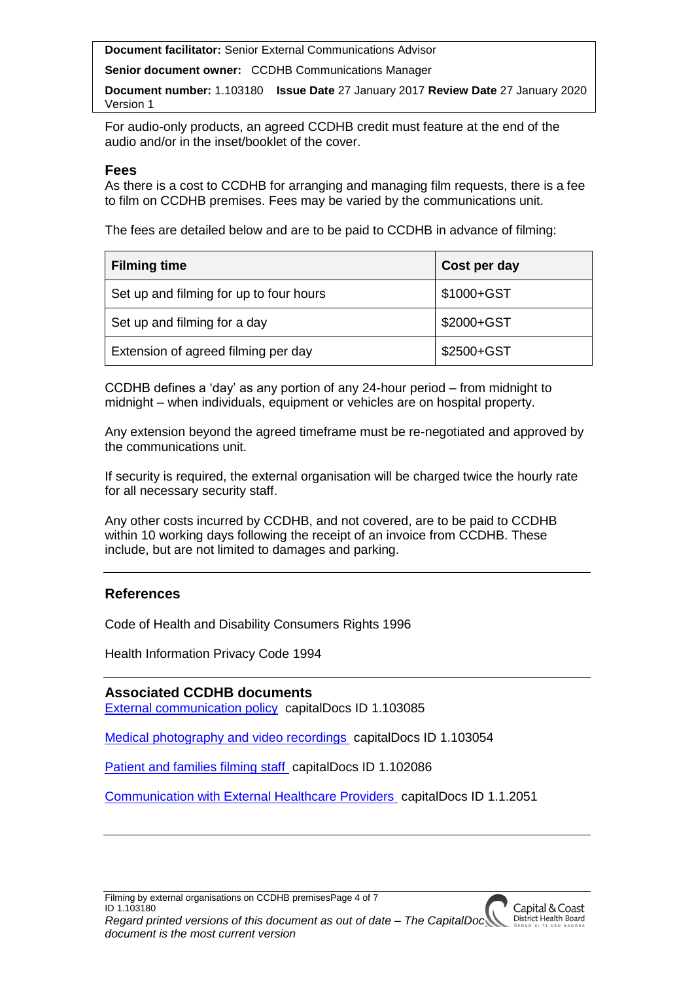**Senior document owner:** CCDHB Communications Manager

**Document number:** 1.103180 **Issue Date** 27 January 2017 **Review Date** 27 January 2020 Version 1

For audio-only products, an agreed CCDHB credit must feature at the end of the audio and/or in the inset/booklet of the cover.

#### **Fees**

As there is a cost to CCDHB for arranging and managing film requests, there is a fee to film on CCDHB premises. Fees may be varied by the communications unit.

The fees are detailed below and are to be paid to CCDHB in advance of filming:

| <b>Filming time</b>                     | Cost per day |
|-----------------------------------------|--------------|
| Set up and filming for up to four hours | \$1000+GST   |
| Set up and filming for a day            | \$2000+GST   |
| Extension of agreed filming per day     | \$2500+GST   |

CCDHB defines a 'day' as any portion of any 24-hour period – from midnight to midnight – when individuals, equipment or vehicles are on hospital property.

Any extension beyond the agreed timeframe must be re-negotiated and approved by the communications unit.

If security is required, the external organisation will be charged twice the hourly rate for all necessary security staff.

Any other costs incurred by CCDHB, and not covered, are to be paid to CCDHB within 10 working days following the receipt of an invoice from CCDHB. These include, but are not limited to damages and parking.

# **References**

Code of Health and Disability Consumers Rights 1996

Health Information Privacy Code 1994

**Associated CCDHB documents** [External communication policy](http://silentone/content/capitalDoc/80_Corporate_Services/000000103085/__file__/000000103085.pdf) capitalDocs ID 1.103085

[Medical photography and video recordings](http://silentone/content/capitalDoc/30_CandCDHB_Organisation_Wide_Policies__Clinical_/Clinical_practice/000000103054/__file__/000000103054.pdf) capitalDocs ID 1.103054

Patient [and families filming staff](http://silentone/content/capitalDoc/30_CandCDHB_Organisation_Wide_Policies__Clinical_/Informed_consent_health_information/000000102086/__file__/000000102086.pdf) capitalDocs ID 1.102086

[Communication with External Healthcare Providers](http://silentone/content/capitalDoc/240_Mental_Health/Mental_Health_Directorate_wide_policies/000000102051/__file__/000000102051.pdf) capitalDocs ID 1.1.2051

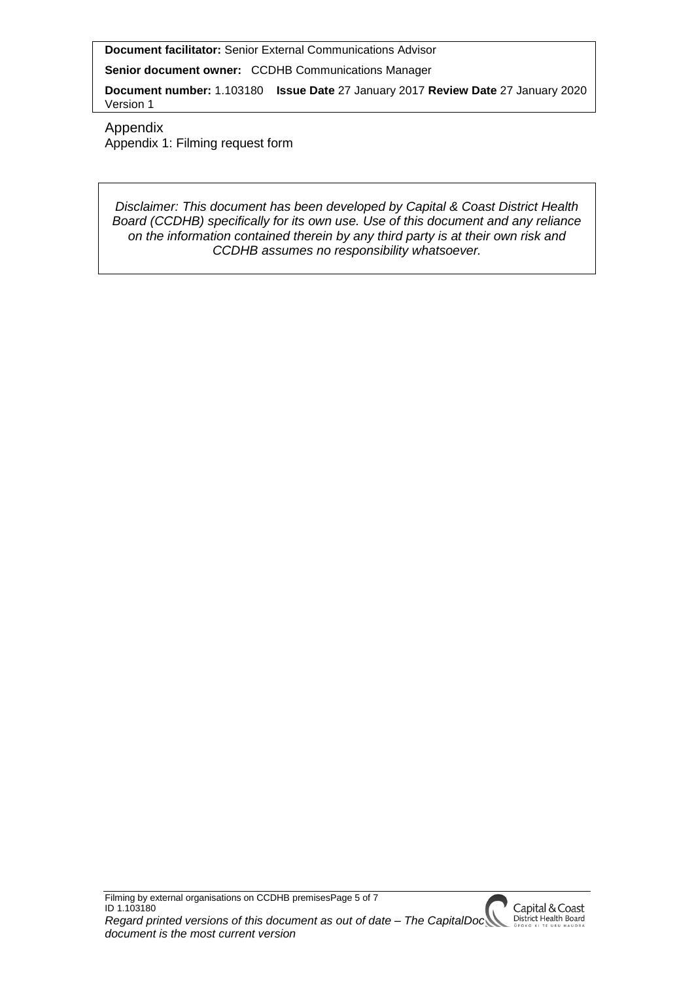**Senior document owner:** CCDHB Communications Manager

**Document number:** 1.103180 **Issue Date** 27 January 2017 **Review Date** 27 January 2020 Version 1

Appendix Appendix 1: Filming request form

*Disclaimer: This document has been developed by Capital & Coast District Health Board (CCDHB) specifically for its own use. Use of this document and any reliance on the information contained therein by any third party is at their own risk and CCDHB assumes no responsibility whatsoever.*

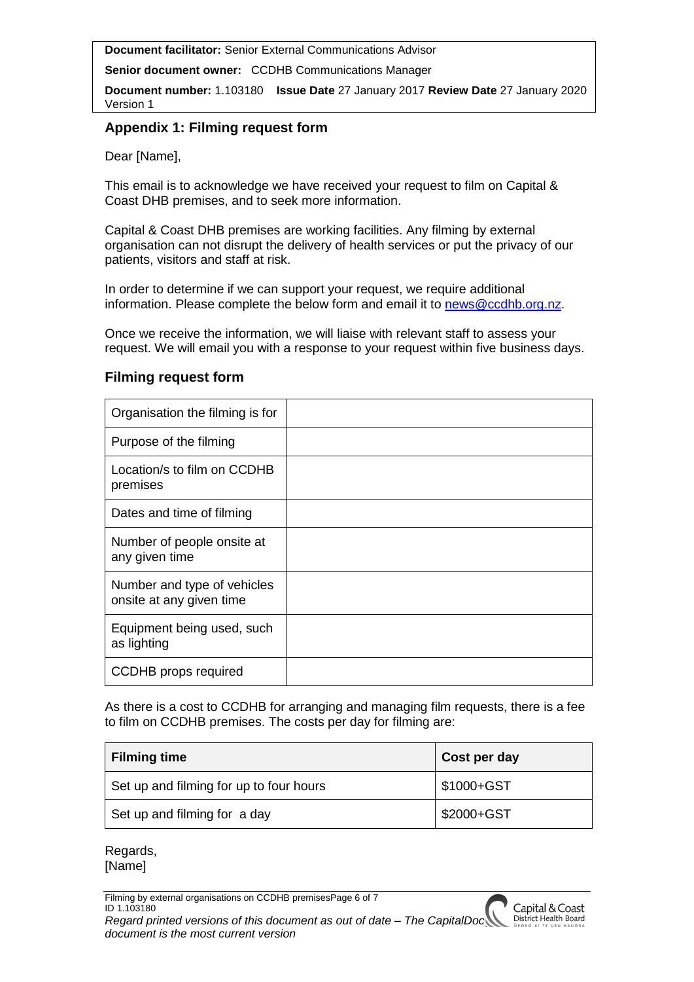**Senior document owner:** CCDHB Communications Manager

**Document number:** 1.103180 **Issue Date** 27 January 2017 **Review Date** 27 January 2020 Version 1

# **Appendix 1: Filming request form**

Dear [Name],

This email is to acknowledge we have received your request to film on Capital & Coast DHB premises, and to seek more information.

Capital & Coast DHB premises are working facilities. Any filming by external organisation can not disrupt the delivery of health services or put the privacy of our patients, visitors and staff at risk.

In order to determine if we can support your request, we require additional information. Please complete the below form and email it to [news@ccdhb.org.nz.](mailto:news@ccdhb.org.nz)

Once we receive the information, we will liaise with relevant staff to assess your request. We will email you with a response to your request within five business days.

# **Filming request form**

| Organisation the filming is for                         |  |
|---------------------------------------------------------|--|
| Purpose of the filming                                  |  |
| Location/s to film on CCDHB<br>premises                 |  |
| Dates and time of filming                               |  |
| Number of people onsite at<br>any given time            |  |
| Number and type of vehicles<br>onsite at any given time |  |
| Equipment being used, such<br>as lighting               |  |
| <b>CCDHB</b> props required                             |  |

As there is a cost to CCDHB for arranging and managing film requests, there is a fee to film on CCDHB premises. The costs per day for filming are:

| <b>Filming time</b>                     | Cost per day |
|-----------------------------------------|--------------|
| Set up and filming for up to four hours | \$1000+GST   |
| Set up and filming for a day            | \$2000+GST   |

Regards, [Name]

Filming by external organisations on CCDHB premisesPage 6 of 7 ID 1.103180 *Regard printed versions of this document as out of date – The CapitalDoc document is the most current version*